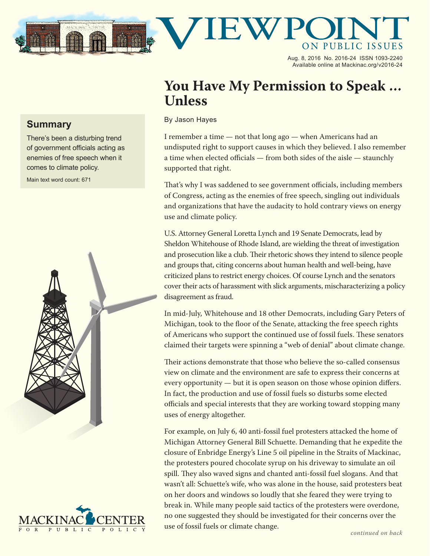

Aug. 8, 2016 No. 2016-24 ISSN 1093-2240 Available online at Mackinac.org/v2016-24

## **You Have My Permission to Speak … Unless**

## By Jason Hayes

I remember a time — not that long ago — when Americans had an undisputed right to support causes in which they believed. I also remember a time when elected officials — from both sides of the aisle — staunchly supported that right.

That's why I was saddened to see government officials, including members of Congress, acting as the enemies of free speech, singling out individuals and organizations that have the audacity to hold contrary views on energy use and climate policy.

U.S. Attorney General Loretta Lynch and 19 Senate Democrats, lead by Sheldon Whitehouse of Rhode Island, are wielding the threat of investigation and prosecution like a club. Their rhetoric shows they intend to silence people and groups that, citing concerns about human health and well-being, have criticized plans to restrict energy choices. Of course Lynch and the senators cover their acts of harassment with slick arguments, mischaracterizing a policy disagreement as fraud.

In mid-July, Whitehouse and 18 other Democrats, including Gary Peters of Michigan, took to the floor of the Senate, attacking the free speech rights of Americans who support the continued use of fossil fuels. These senators claimed their targets were spinning a "web of denial" about climate change.

Their actions demonstrate that those who believe the so-called consensus view on climate and the environment are safe to express their concerns at every opportunity — but it is open season on those whose opinion differs. In fact, the production and use of fossil fuels so disturbs some elected officials and special interests that they are working toward stopping many uses of energy altogether.

For example, on July 6, 40 anti-fossil fuel protesters attacked the home of Michigan Attorney General Bill Schuette. Demanding that he expedite the closure of Enbridge Energy's Line 5 oil pipeline in the Straits of Mackinac, the protesters poured chocolate syrup on his driveway to simulate an oil spill. They also waved signs and chanted anti-fossil fuel slogans. And that wasn't all: Schuette's wife, who was alone in the house, said protesters beat on her doors and windows so loudly that she feared they were trying to break in. While many people said tactics of the protesters were overdone, no one suggested they should be investigated for their concerns over the use of fossil fuels or climate change.

## **Summary**

There's been a disturbing trend of government officials acting as enemies of free speech when it comes to climate policy.

Main text word count: 671